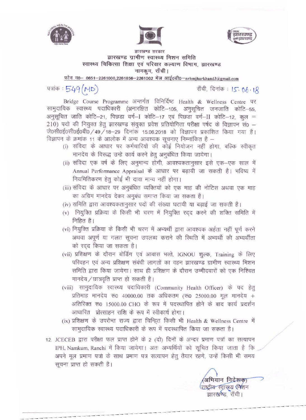





 $\frac{1}{\sqrt{2}}$ . ब्रारखण्ड सरकार<br>झारखण्ड ग्रामीण स्वास्थ्य मिशन समिति स्वास्थ्य चिकित्सा शिक्षा एवं परिवार कल्याण विभाग, झारखण्ड नामकम, राँची।

 $\n \n *m* = 70 - 0651 - 2261000, 2261856 - 2261002$  मेल आई0डी0-nrhmjharkhand3@gmail.com

राँची, दिनांक: 15. 06. 18

पत्रांक:  $549 \text{ (MD)}$ <br>Bridge Course Programme अन्तर्गत विनिर्दिष्ट Health & Wellness Centre पर सामुदायिक स्वास्थ्य पदाधिकारी (अनारक्षित कोटि-105, अनुसूचित जनजाति कोटि-55, अनुसूचित जाति कोटि-21, पिछड़ा वर्ग-I कोटि-17 एवं पिछड़ा वर्ग-II कोटि-12, कुल =  $210$ ) पदो की नियुक्त हेतू झारखण्ड संयुक्त प्रवेश प्रतियोगिता परीक्षा पर्षद के विज्ञापन सं $0 \overrightarrow{0}$ 0सी0ई0सी0ई0बी0 / 49 / 18-29 दिनांक 15.06.2018 को विज्ञापन प्रकाशित किया गया है। विज्ञापन के क्रमांक 11 के आलोक में अन्य आवश्यक सूचनाए निम्नांकित है -

- िक क्रमांक 11 के आलोक में अन्य आवश्यक सूचनाएं निम्नांकित हैं —<br>(i) संविदा के आधार पर कर्मचारियों की कोई नियोजन नहीं होगा, बल्कि स्वीकृत संविदा के आधार पर कर्मचारियों की कोई नियोजन नहीं होगा<br>मानदेय के विरूद्ध उन्हे कार्य करने हेतु अनुबंधित किया जायेगा।<br>...
- मानदेय के विरूद्ध उन्हें कार्य करने हेतु अनुबंधित किया जायेगा।<br>(ii) संविदा एक वर्ष के लिए अनुमान्य होगी, आवश्यकतानुसार इसे एक—एक साल में Annual Performance Appraisal के आधार पर बढ़ायी जा सकती है। भविष्य में नियमितिकरण हेतू कोई भी दावा मान्य नहीं होगा।
- (iii) संविदा के आधार पर अनुबंधित व्यक्तियों को एक माह की नोटिस अथवा एक माह का अग्रिम मानदेय देकर अनुबंध समाप्त किया जा सकता है।
- (iv) समिति द्वारा आवश्यकतानुसार पदों की संख्या घटायी या बढ़ाई जा सकती है।
- (v) नियुक्ति प्रक्रिया के किसी भी चरण में नियुक्ति रदद करने की शक्ति समिति में निहित है।
- (vi) नियुक्ति प्रक्रिया के किसी भी चरण में अभ्यर्थी द्वारा आवश्यक अर्हता नहीं पूर्ण करने<br>अथवा अपूर्ण या गलत सूचना उपलब्ध कराने की स्थिति में अभ्यर्थी की अभ्यर्थीता को रदद किया जा सकता है।
- (vii) प्रशिक्षण के दौरान बोर्डिंग एवं आवास भत्ते, IGNOU शुल्क, Training के लिए परिवहन एवं अन्य प्रशिक्षण संबंधी लागतों का वहन झारखण्ड ग्रामीण स्वास्थ्य मिशन समिति द्वारा किया जायेगा। साथ ही प्रशिक्षण के दौरान उम्मीदवारों को एक निश्चित मानदेय / छात्रवृति प्राप्त हो सकती है। सामात द्वारा किया जायना। साथ हा प्राराजन के दारान उम्मादवारा का रुक मास्यत<br>मानदेय/छात्रवृति प्राप्त हो सकती है।<br>(viii) सामुदायिक स्वास्थ्य पदाधिकारी (Community Health Officer) के पद हेतु
- ) सामुदायिक स्वास्थ्य पदाधिकारी (Community Health Officer) के पद हेतु<br>प्रतिमाह मानदेय रू0 40000.00 तक अधिकतम (रू0 25000.00 मूल मानदेय + प्रतिमाह मानदेय रू0 40000.00 तक अधिकतम (रू0 25000.00 मूल मानदेय +<br>अतिरिक्त रू0 15000.00 CHO के रूप में पदस्थापित होने के बाद कार्य प्रदर्शन आधारित प्रोत्साहन राशि के रूप में स्वीकार्य होगा।
- (ix) >lttrerur cf> \34'<~'\*1 ~ &RT ~~ct ~ '4T Health & Wellness Cenlre *1=t*  ~I :1)G I fti Cf> ~~ ~ cf> ~ if tfGf~ fcITTn' \1IT "ffCf>'dT ~ <sup>I</sup> 12. JCECEB द्वारा परीक्षा फल प्राप्त होने के रूप में पदर्श्थापित किया जा सकता है।<br>The CEB द्वारा परीक्षा फल प्राप्त होने के 2 (दो) दिनों के अन्दर प्रमाण पत्रों का सत्यापन
- IPH, Namkum, Ranchi में किया जायेगा। अतः अभ्यर्थियों को सूचित किया जाता है कि अपने मूल प्रमाण पत्रों के साथ प्रमाण पत्र सत्यापन हेतु तैयार रहगे, उन्हें किसी भी समय सूचना प्राप्त हो सकती है।

अभियान निर्देशक) <u>राष्ट्रीय रवास्थ्य (मेशन</u> झारख**ण्ड**़ राँची।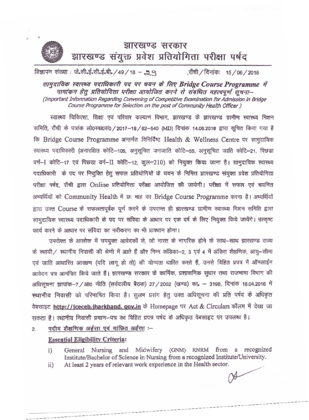

## झारखण्ड सरकार झारखण्ड संयुक्त प्रवेश प्रतियोगिता परीक्षा पर्षद

विज्ञापन संख्या: जे.सी.ई.सी.ई.बी. / 49 / 18 - 29 ॉ़ची / दिनांकः 15 / 06 / 2018

सामुदायिक स्वास्थ्य पदाधिकारी पद पर चयन के लिए Bridge Course Programme में नामांकन हेतु प्रतियोगिता परीक्षा आयोजित करने से संबंधित महत्वपूर्ण सूचना– (Important Information Regarding Convening of Competitive Examination for Admission in Bridge Course Programme for Selection on the post of Community Health Officer )

स्वास्थ्य चिकित्सा, शिक्षा एवं परिवार कल्याण विभाग, झारखण्ड के झारखण्ड ग्रामीण स्वास्थ्य मिशन समिति, राँची के पत्रांक लो0स्वा0सं0 / 2017-18 / 62-540 (MD) दिनांक 14.06.2018 द्वारा सूचित किया गया है कि Bridge Course Programme अन्तर्गत विनिर्दिष्ट Health & Wellness Centre पर सामुदायिक स्वास्थ्य पदाधिकारी (अनारक्षित कोटि-105, अनुसूचित जनजाति कोटि-55, अनुसूचित जाति कोटि-21, पिछड़ा वर्ग-I कोटि-17 एवं पिछड़ा वर्ग-II कोटि-12, कूल=210) को नियुक्त किया जाना है। सामुदायिक स्वास्थ्य पदाधिकारी के पद पर नियुक्ति हेतु सफल प्रतियोगियों के चयन के निमित्त झारखण्ड संयुक्त प्रवेश प्रतियोगिता परीक्षा पर्षद, राँची द्वारा Online प्रतियोगिता परीक्षा आयोजित की जायेगी। परीक्षा में सफल एवं चयनित अभ्यर्थियों को Community Health में छः माह का Bridge Course Programme करना है। अभ्यर्थियों द्वारा उक्त Course के सफलतापूर्वक पूर्ण करने के उपरान्त ही झारखण्ड ग्रामीण स्वास्थ्य मिशन समिति द्वारा सामुदायिक स्वास्थ्य पदाधिकारी के पद पर संविदा के आधार पर एक वर्ष के लिए नियुक्त किये जायेंगे। उत्कृष्ट कार्य करने के आधार पर संविदा का नवीकरण का भी प्राक्धान होगा।

उपरोक्त के आलोक में उपयुक्त आवेदकों से, जो भारत के नागरिक होने के साथ-साथ झारखण्ड राज्य के स्थायी / स्थानीय निवासी की श्रेणी में आते हैं और निम्न कंडिका-2, 3 एवं 4 में अंकित शैक्षणिक, आयु-सीमा एवं जाति आधारित आरक्षण (यदि लागू हो तो) की योग्यता धारित करते हैं, उनसे विहित प्रपत्र में ऑनलाईन आवेदन पत्र आमंत्रित किये जाते हैं। झारखण्ड सरकार के कार्मिक, प्रशासनिक सुधार तथा राजभाषा विभाग की अधिसूचना ज्ञापांक-7 / आ0 नीति (सर्वदलीय बैठक) 27 / 2002 (खण्ड) का. - 3198, दिनांक 18.04.2016 में स्थानीय निवासी को परिभाषित किया है। सुलभ प्रसंग हेतु उक्त अधिसूचना की प्रति पर्षद के अधिकृत वेबसाइट http://jceceb.jharkhand. gov.in के Homepage पर Act & Circulars कॉलम में देखा जा सकता है। स्थानीय निवासी प्रमाण-पत्र का विहित प्रपत्र पर्षद के अधिकृत वेबसाइट पर उपलब्ध है।

पदीय शैक्षणिक अर्हत्ता एवं वांछित अर्हता :- $\overline{2}$ 

## **Essential Eligibility Criteria:**

- General Nursing and Midwifery (GNM) RNRM from a recognized  $i)$ Institute/Bachelor of Science in Nursing from a recognized Institute/University.
- At least 2 years of relevant work experience in the Health sector.  $ii)$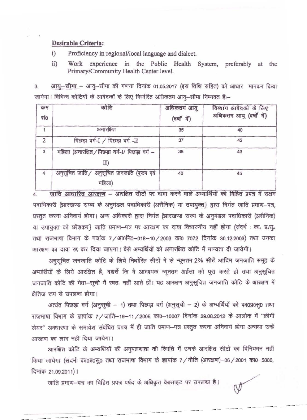## **Desirable Criteria:**

i) Proficiency in regionaJ/local language and dialect.

ii) Work experience in the Public Health System, preferably at the Primary/Community Health Center level.

3. आयू-सीमा - आयू-सीमा की गणना दिनांक 01.05.2017 (इस तिथि सहित) को आधार मानकर किया जायेगा। विभिन्न कोटियों के आवेदकों के लिए निर्धारित अधिकतम आयु-सीमा निम्नवत है:--

| कम<br>सं० | कोटि                                                   | अधिकतम आयु<br>(वर्षों में) | दिव्यांग आवेदकों के लिए<br>अधिकतम आयु (वर्षों में) |
|-----------|--------------------------------------------------------|----------------------------|----------------------------------------------------|
|           | अनारक्षित                                              | 35                         | 40                                                 |
|           | पिछड़ा वर्ग-I / पिछड़ा वर्ग -II                        | 37                         | 42                                                 |
| 3         | महिला (अनारक्षित / पिछड़ा वर्ग-I/ पिछड़ा वर्ग -<br>II) | 38                         | 43                                                 |
|           | अनुसूचित जाति/ अनुसूचित जनजाति (पुरुष एवं<br>महिला)    | 40                         | 45                                                 |

4. जाति आधारित आरक्षण - आरक्षित सीटों पर दावा करने वाले अभ्यार्थियों को विहित प्रपत्र में सक्षम पदाधिकारी झािरखण्ड राज्य के अनुमंडल पदाधिकारी (असैनिक) या उपायुक्त} द्वारा निर्गत जाति प्रमाण-पत्र, प्रस्तुत करना अनिवार्य होगा। अन्य अधिकारी द्वारा निर्गत झारखण्ड राज्य के अनुमंडल पदाधिकारी (असैनिक) या उपायुक्त को छोड़कर} जाति प्रमाण-पत्र पर आरक्षण का दावा विचारणीय नहीं होगा (संदर्भ : का. प्र.सू. तथा राजभाषा विभाग के पत्रांक 7 / आ0नि0-018-10 / 2003 का0 7072 दिनांक 30.12.2003) तथा उनका आरक्षण का दावा रद्द कर दिया जाएगा। वैसे अभ्यर्थियों को अनारक्षित कोटि में मान्यता दी जायेगी।

अनुसूचित जनजाति कोटि के लिये निर्धारित सीटों में से न्यूनतम 2% सीटें आदिम जनजाति समूह के अभ्यर्थियों के लिये आरक्षित है, बशर्त्ते कि वे आवश्यक न्यूनतम अर्हत्ता को पूरा करते हों तथा अनुसूचित जनजाति कोटि की मेघा-सूची में स्वतः नहीं आते हों। यह आरक्षण अनुसूचित जनजाति कोटि के आरक्षण में क्षैतिज रूप से उपलब्ध होगा।

अत्यंत पिछड़ा वर्ग (अनुसूची - 1) तथा पिछड़ा वर्ग (अनुसूची - 2) के अभ्यर्थियों को का0प्र0स्0 तथा राजभाषा विभाग के ज्ञापांक 7 / जाति-19-11 / 2008 का0-10007 दिनांक 29.08.2012 के आलोक में "क्रीमी लेयर" अवधारणा के समावेश संबंधित प्रपत्र में ही जाति प्रमाण-पत्र प्रस्तुत करना अनिवार्य होगा अन्यथा उन्हें आरक्षण का लाभ नहीं दिया जायेगा।

आरक्षित कोटि के अभ्यर्थियों की अनुपलब्धता की स्थिति में उनके आरक्षित सीटों का विनियमन नहीं fकेया जायेगा (संदर्भ: का0प्र0स्0 तथा राजभाषा विभाग के ज्ञापांक 7 / नीति (आरक्षण)-06 / 2001 का0-5886, दिनांक 21.09.2011) |

----------

जाति प्रमाण-पत्र का विहित प्रपत्र पर्षद के अधिकृत वेबसाइट पर उपलब्ध है।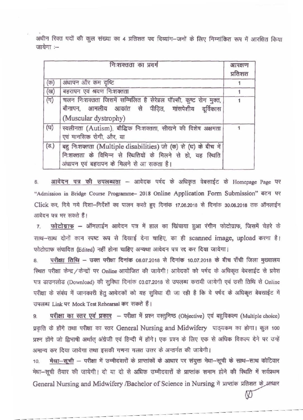अधीन रिक्त पदों की कूल संख्या का 4 प्रतिशत पद दिव्यांग-जनों के लिए निम्नांकित रूप में आरक्षित किया  $\overline{u}$ ायेगा $\overline{u}$  :-

| निःशक्तता का प्रवर्ग |                                                                                                                                                                          | आरक्षण<br>प्रतिशत |
|----------------------|--------------------------------------------------------------------------------------------------------------------------------------------------------------------------|-------------------|
| (क)                  | अंधापन और कम दृष्टि                                                                                                                                                      |                   |
| (ख)                  | बहरापन एवं श्रवण निःशक्तता                                                                                                                                               |                   |
| $(\pi)$              | चलन निःशक्तता जिसमें सम्मिलित है सेरेब्रल पॉल्सी, कुष्ट रोग मुक्त,<br>बौनापन, आमलीय आकांत से पीड़ित, मांसपेशीय दूर्विकास<br>(Muscular dystrophy)                         |                   |
| (घ)                  | स्वलीनता (Autism), बौद्धिक निःशक्तता, सीखने की विशेष अक्षमता<br>एवं मानसिक रोगी, और, या                                                                                  |                   |
| $(\overline{s})$     | बह निःशक्तता (Multiple disabilities) जो (क) से (घ) के बीच में<br>निःशक्तता के विभिन्न से स्थितियों के मिलने से हो, यह स्थिति<br>अंधापन एवं बहरापन के मिलने से आ सकता है। |                   |

6. आवेदन पत्र की उपलब्धता - आवेदक पर्षद के अधिकृत वेबसाईट के Homepage Page पर "Admission in Bridge Course Programme- 2018 Online Application Form Submission" बटन पर Click कर, दिये गये दिशा-निर्देशों का पालन करते हुए दिनांक 17.06.2018 से दिनांक 30.06.2018 तक ऑनलाईन आवेदन पत्र भर सकते हैं।

7. फोटोग्राफ - ऑनलाईन आवेदन पत्र में हाल का खिंचाया हुआ रंगीन फोटोग्राफ, जिसमें चेहरे के साथ-साथ दोनों कान स्पष्ट रूप से दिखाई देना चाहिए, का ही scanned image, upload करना है। फोटोग्राफ संपादित (Edited) नहीं होना चाहिए अन्यथा आवेदन पत्र रद्द कर दिया जायेगा।

8. परीक्षा तिथि - उक्त परीक्षा दिनांक 08.07.2018 से दिनांक 10.07.2018 के बीच राँची जिला मुख्यालय रिथत परीक्षा केन्द्र / केन्द्रों पर Online आयोजित की जायेगी। आवेदकों को पर्षद के अधिकृत वेबसाईट से प्रवेश पत्र डाउनलोड (Download) की सुविधा दिनांक 03.07.2018 से उपलब्ध करायी जायेगी एवं उसी तिथि से Online परीक्षा के संबंध में जानकारी हेतु आवेदकों को यह सुविधा दी जा रही है कि वे पर्षद के अधिकृत बेवसाईट में उपलब्ध Link पर Mock Test Rehearsal कर सकते हैं।

9. परीक्षा का स्तर एवं प्रकार - परीक्षा में प्रश्न वस्तुनिष्ठ (Objective) एवं बहुविकल्प (Multiple choice) प्रकृति के होंगे तथा परीक्षा का स्तर General Nursing and Midwifery पाठ्यकम का होगा। कुल 100 प्रश्न होंगे जो द्विभाषी अर्थात अंग्रेजी एवं हिन्दी में होंगे। एक प्रश्न के लिए एक से अधिक विकल्प देने पर उन्हें अमान्य कर दिया जायेगा तथा इसकी गणना गलत उत्तर के अन्तर्गत की जायेगी।

10. मेघा-सूची - परीक्षा में उम्मीदवारों के प्राप्तांकों के आधार पर संयुक्त मेघा-सूची के साथ-साथ कोटिवार मेधा--सूची तैयार की जायेगी। दो या दो से अधिक उम्मीदवारों के प्राप्तांक समान होने की स्थिति में सर्वप्रथम General Nursing and Midwifery /Bachelor of Science in Nursing में प्राप्तांक प्रतिशत के अधार

--------- --------- --------- --------- ---

---